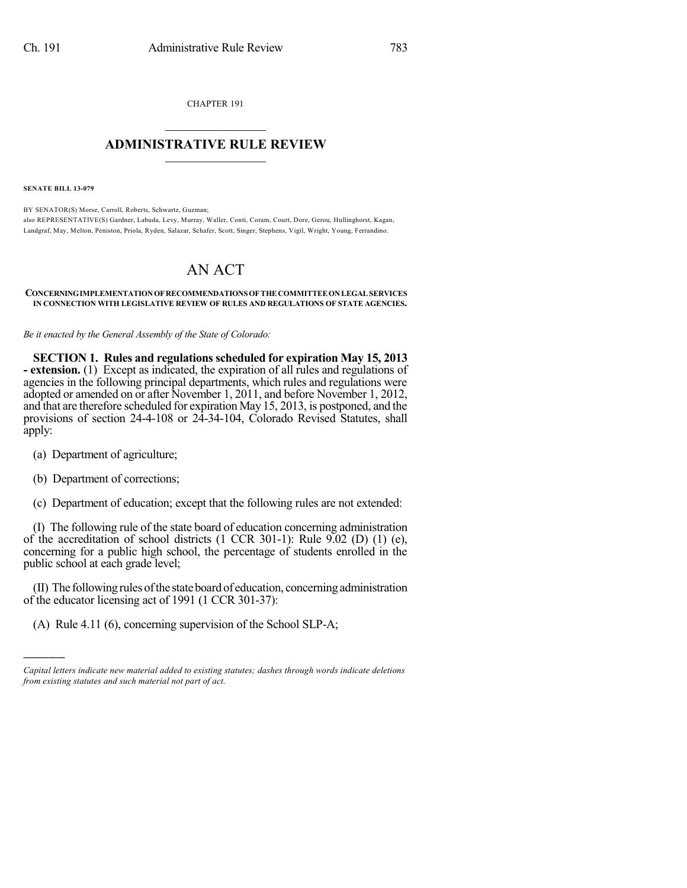CHAPTER 191  $\mathcal{L}_\text{max}$  . The set of the set of the set of the set of the set of the set of the set of the set of the set of the set of the set of the set of the set of the set of the set of the set of the set of the set of the set

## **ADMINISTRATIVE RULE REVIEW**  $\_$

**SENATE BILL 13-079**

BY SENATOR(S) Morse, Carroll, Roberts, Schwartz, Guzman; also REPRESENTATIVE(S) Gardner, Labuda, Levy, Murray, Waller, Conti, Coram, Court, Dore, Gerou, Hullinghorst, Kagan, Landgraf, May, Melton, Peniston, Priola, Ryden, Salazar, Schafer, Scott, Singer, Stephens, Vigil, Wright, Young, Ferrandino.

## AN ACT

## **CONCERNINGIMPLEMENTATIONOF RECOMMENDATIONS OF THE COMMITTEEONLEGAL SERVICES IN CONNECTION WITH LEGISLATIVE REVIEW OF RULES AND REGULATIONS OF STATE AGENCIES.**

*Be it enacted by the General Assembly of the State of Colorado:*

**SECTION 1. Rules and regulations scheduled for expiration May 15, 2013 - extension.** (1) Except as indicated, the expiration of all rules and regulations of agencies in the following principal departments, which rules and regulations were adopted or amended on or after November 1, 2011, and before November 1, 2012, and that are therefore scheduled for expiration May 15, 2013, is postponed, and the provisions of section 24-4-108 or 24-34-104, Colorado Revised Statutes, shall apply:

- (a) Department of agriculture;
- (b) Department of corrections;

)))))

(c) Department of education; except that the following rules are not extended:

(I) The following rule of the state board of education concerning administration of the accreditation of school districts (1 CCR 301-1): Rule 9.02 (D) (1) (e), concerning for a public high school, the percentage of students enrolled in the public school at each grade level;

(II) The followingrulesofthe stateboardof education, concerningadministration of the educator licensing act of 1991 (1 CCR 301-37):

(A) Rule 4.11 (6), concerning supervision of the School SLP-A;

*Capital letters indicate new material added to existing statutes; dashes through words indicate deletions from existing statutes and such material not part of act.*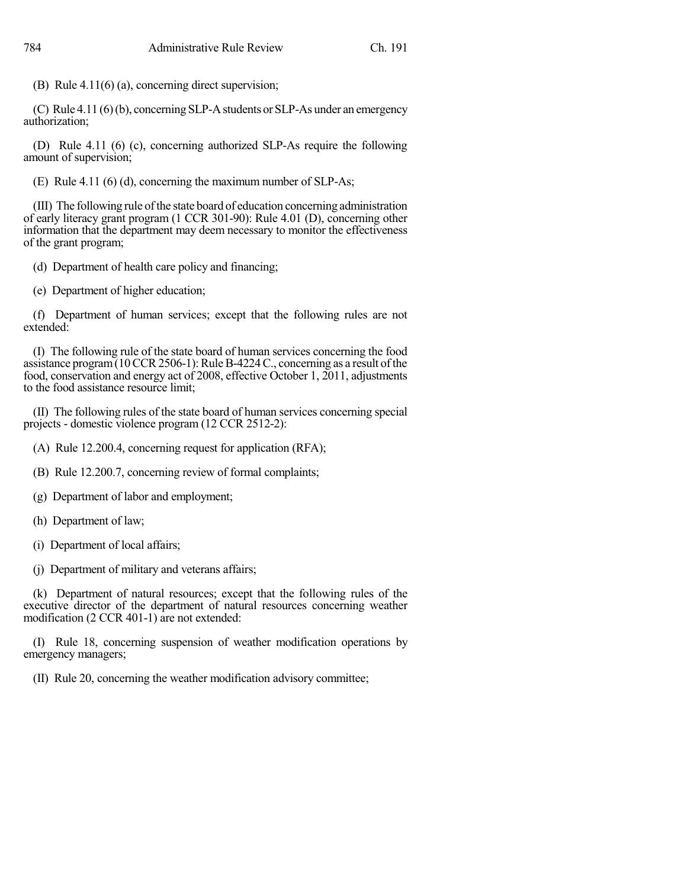(B) Rule 4.11(6) (a), concerning direct supervision;

 $(C)$  Rule 4.11  $(6)(b)$ , concerning SLP-A students or SLP-As under an emergency authorization;

(D) Rule 4.11 (6) (c), concerning authorized SLP-As require the following amount of supervision;

(E) Rule 4.11 (6) (d), concerning the maximum number of SLP-As;

(III) The following rule of the state board of education concerning administration of early literacy grant program (1 CCR 301-90): Rule 4.01 (D), concerning other information that the department may deem necessary to monitor the effectiveness of the grant program;

(d) Department of health care policy and financing;

(e) Department of higher education;

(f) Department of human services; except that the following rules are not extended:

(I) The following rule of the state board of human services concerning the food assistance program $(10 \text{ CCR } 2506-1)$ : Rule B-4224 C., concerning as a result of the food, conservation and energy act of 2008, effective October 1, 2011, adjustments to the food assistance resource limit;

(II) The following rules of the state board of human services concerning special projects - domestic violence program (12 CCR 2512-2):

- (A) Rule 12.200.4, concerning request for application (RFA);
- (B) Rule 12.200.7, concerning review of formal complaints;
- (g) Department of labor and employment;
- (h) Department of law;
- (i) Department of local affairs;
- (j) Department of military and veterans affairs;

(k) Department of natural resources; except that the following rules of the executive director of the department of natural resources concerning weather modification (2 CCR 401-1) are not extended:

(I) Rule 18, concerning suspension of weather modification operations by emergency managers;

(II) Rule 20, concerning the weather modification advisory committee;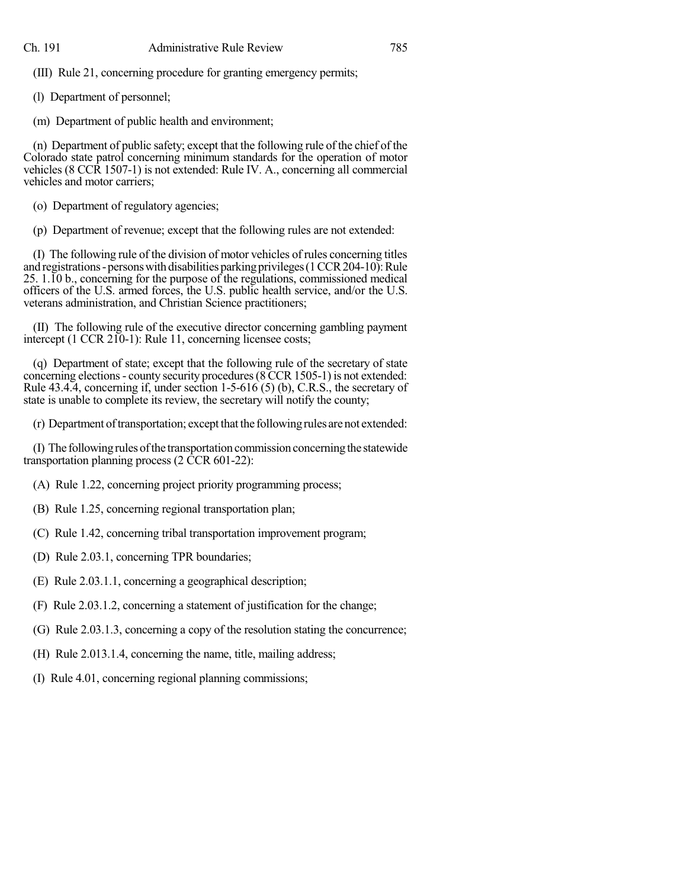(III) Rule 21, concerning procedure for granting emergency permits;

(l) Department of personnel;

(m) Department of public health and environment;

(n) Department of public safety; except that the following rule of the chief of the Colorado state patrol concerning minimum standards for the operation of motor vehicles (8 CCR 1507-1) is not extended: Rule IV. A., concerning all commercial vehicles and motor carriers;

(o) Department of regulatory agencies;

(p) Department of revenue; except that the following rules are not extended:

(I) The following rule of the division of motor vehicles of rules concerning titles and registrations - persons with disabilities parking privileges (1 CCR 204-10): Rule 25. 1.10 b., concerning for the purpose of the regulations, commissioned medical officers of the U.S. armed forces, the U.S. public health service, and/or the U.S. veterans administration, and Christian Science practitioners;

(II) The following rule of the executive director concerning gambling payment intercept (1 CCR 210-1): Rule 11, concerning licensee costs;

(q) Department of state; except that the following rule of the secretary of state concerning elections- county security procedures(8CCR1505-1) is not extended: Rule  $43.4.\overline{4}$ , concerning if, under section  $1-5-616(5)$  (b), C.R.S., the secretary of state is unable to complete its review, the secretary will notify the county;

(r) Department of transportation; except that the following rules are not extended:

(I) The following rules of the transportation commission concerning the statewide transportation planning process (2 CCR 601-22):

- (A) Rule 1.22, concerning project priority programming process;
- (B) Rule 1.25, concerning regional transportation plan;
- (C) Rule 1.42, concerning tribal transportation improvement program;
- (D) Rule 2.03.1, concerning TPR boundaries;
- (E) Rule 2.03.1.1, concerning a geographical description;
- (F) Rule 2.03.1.2, concerning a statement of justification for the change;
- (G) Rule 2.03.1.3, concerning a copy of the resolution stating the concurrence;
- (H) Rule 2.013.1.4, concerning the name, title, mailing address;
- (I) Rule 4.01, concerning regional planning commissions;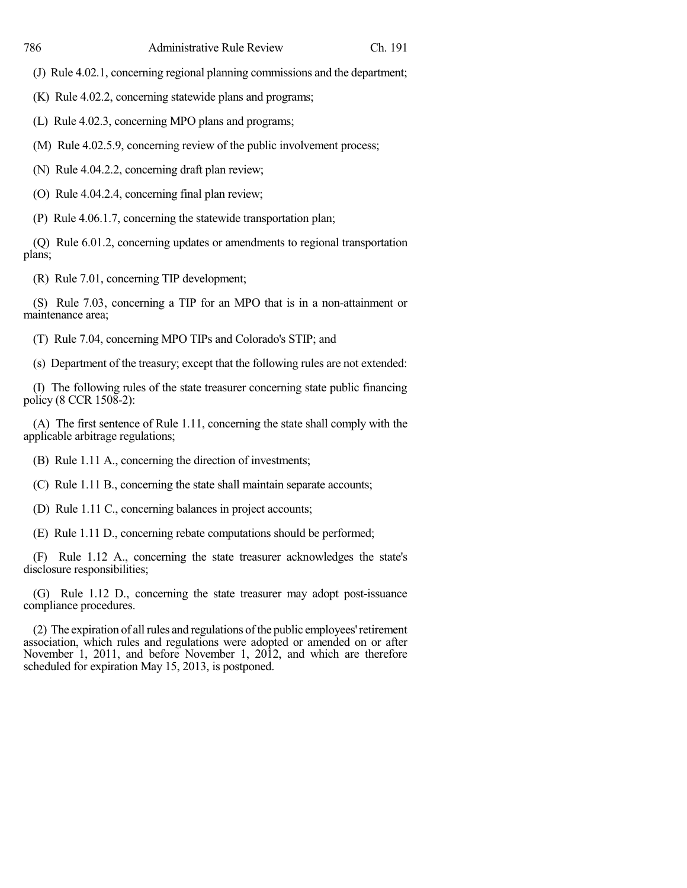(J) Rule 4.02.1, concerning regional planning commissions and the department;

(K) Rule 4.02.2, concerning statewide plans and programs;

(L) Rule 4.02.3, concerning MPO plans and programs;

(M) Rule 4.02.5.9, concerning review of the public involvement process;

(N) Rule 4.04.2.2, concerning draft plan review;

(O) Rule 4.04.2.4, concerning final plan review;

(P) Rule 4.06.1.7, concerning the statewide transportation plan;

(Q) Rule 6.01.2, concerning updates or amendments to regional transportation plans;

(R) Rule 7.01, concerning TIP development;

(S) Rule 7.03, concerning a TIP for an MPO that is in a non-attainment or maintenance area;

(T) Rule 7.04, concerning MPO TIPs and Colorado's STIP; and

(s) Department of the treasury; except that the following rules are not extended:

(I) The following rules of the state treasurer concerning state public financing policy (8 CCR 1508-2):

(A) The first sentence of Rule 1.11, concerning the state shall comply with the applicable arbitrage regulations;

(B) Rule 1.11 A., concerning the direction of investments;

(C) Rule 1.11 B., concerning the state shall maintain separate accounts;

(D) Rule 1.11 C., concerning balances in project accounts;

(E) Rule 1.11 D., concerning rebate computations should be performed;

(F) Rule 1.12 A., concerning the state treasurer acknowledges the state's disclosure responsibilities;

(G) Rule 1.12 D., concerning the state treasurer may adopt post-issuance compliance procedures.

(2) The expiration of all rules and regulations of the public employees' retirement association, which rules and regulations were adopted or amended on or after November 1, 2011, and before November 1, 2012, and which are therefore scheduled for expiration May 15, 2013, is postponed.